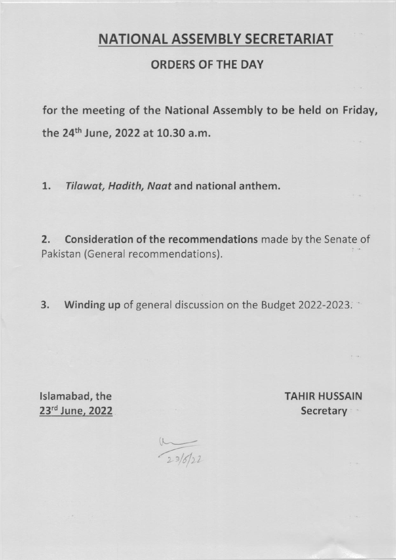# NATIONAL ASSEMBLY SECRETARIAT

## ORDERS OF THE DAY

for the meeting of the National Assembly to be held on Friday, the 24<sup>th</sup> June, 2022 at 10.30 a.m.

1. Tilawat, Hadith, Naat and national anthem.

2, Consideration of the recommendations made by the Senate of Pakistan (General recommendations).

3. Winding up of general discussion on the Budget 2022-2023.

lslamabad, the TAHIR HUSSAIN

23rd June, 2022 Secretary

 $\frac{1}{2\sqrt[3]{6}}$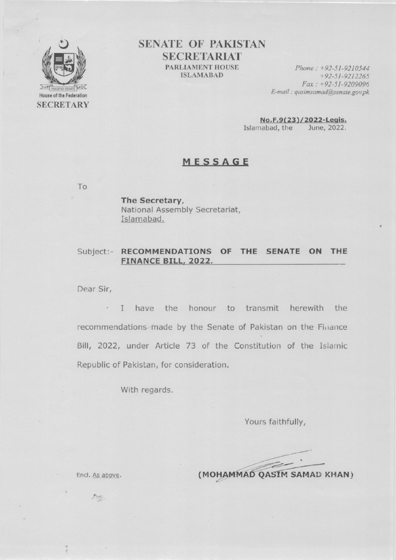

**SENATE OF PAKISTAN SECRETARIAT** PARLIAMENT HOUSE **ISLAMABAD** 

Phone:  $+92-51-9210544$  $+92-51-9212265$  $Fax: +92-51-9209096$ E-mail: qasimsamad@senate.gov.pk

No.F.9(23)/2022-Legis. Islamabad, the June, 2022.

#### MESSAGE

To

v

The Secretary, National Assembly Secretariat, Islamabad.

#### Subject:- RECOMMENDATIONS OF THE SENATE ON THE FINANCE BILL, 2022.

Dear Sir,

I have the honour to transmit herewith the recommendations made by the Senate of Pakistan on the Finance Bill, 2022, under Article 73 of the Constitution of the Islamic Republic of Pakistan, for consideration.

With regards.

Yours faithfully,

(MOHAMMAD QASIM SAMAD KHAN)

Encl. As above.

Pop.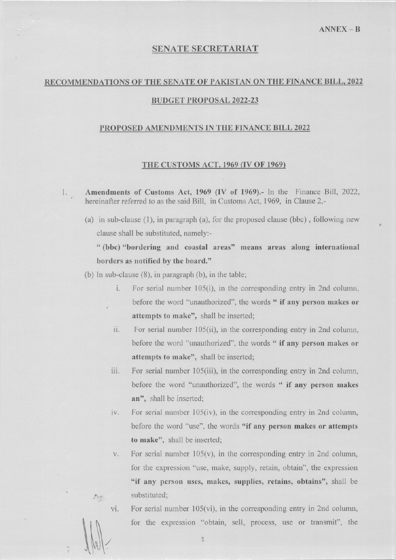#### **SENATE SECRETARIAT**

### RECOMMENDATIONS OF THE SENATE OF PAKISTAN ON THE FINANCE BILL, 2022

#### **BUDGET PROPOSAL 2022-23**

#### PROPOSED AMENDMENTS IN THE FINANCE BILL 2022

#### THE CUSTOMS ACT, 1969 (IV OF 1969)

Amendments of Customs Act, 1969 (IV of 1969).- In the Finance Bill, 2022,  $1.$ hereinafter referred to as the said Bill, in Customs Act, 1969, in Clause 2,-

(a) in sub-clause (1), in paragraph (a), for the proposed clause (bbc), following new clause shall be substituted, namely:-

"(bbc) "bordering and coastal areas" means areas along international borders as notified by the board."

- $(b)$  In sub-clause  $(8)$ , in paragraph  $(b)$ , in the table;
	- For serial number 105(i), in the corresponding entry in 2nd column,  $i$ . before the word "unauthorized", the words " if any person makes or attempts to make", shall be inserted;
	- For serial number 105(ii), in the corresponding entry in 2nd column, ii. before the word "unauthorized", the words " if any person makes or attempts to make", shall be inserted;
	- iii. For serial number 105(iii), in the corresponding entry in 2nd column, before the word "unauthorized", the words " if any person makes an", shall be inserted;
	- For serial number  $105(iv)$ , in the corresponding entry in 2nd column, iv. before the word "use", the words "if any person makes or attempts to make", shall be inserted;
	- For serial number  $105(v)$ , in the corresponding entry in 2nd column, V. for the expression "use, make, supply, retain, obtain", the expression "if any person uses, makes, supplies, retains, obtains", shall be substituted:

vi.

 $\mathcal{F}^{\text{c}}$ 

For serial number  $105(vi)$ , in the corresponding entry in 2nd column, for the expression "obtain, sell, process, use or transmit", the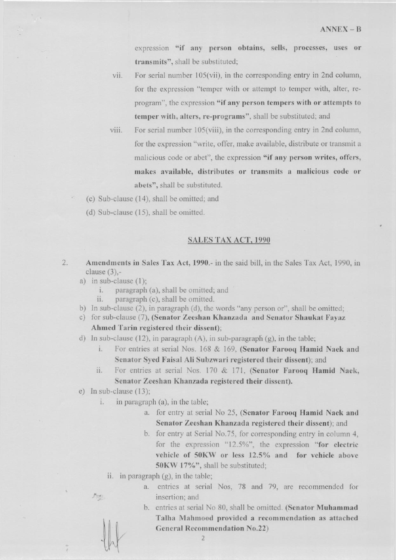expression "if any person obtains, sells, processes, uses or transmits", shall be substituted;

For serial number  $105(vii)$ , in the corresponding entry in 2nd column, vii. for the expression "temper with or attempt to temper with, alter, reprogram", the expression "if any person tempers with or attempts to temper with, alters, re-programs", shall be substituted; and

- viii. For serial number 105(viii), in the corresponding entry in 2nd column, for the expression "write, offer, make available, distribute or transmit a malicious code or abet", the expression "if any person writes, offers, makes available, distributes or transmits a malicious code or abets", shall be substituted.
- (c) Sub-clause (14), shall be omitted; and
- (d) Sub-clause (15), shall be omitted.

#### **SALES TAX ACT, 1990**

- $2.$ Amendments in Sales Tax Act, 1990.- in the said bill, in the Sales Tax Act, 1990, in clause  $(3)$ ,
	- a) in sub-clause  $(1)$ ;
		- $i$ . paragraph (a), shall be omitted; and
		- ii. paragraph (c), shall be omitted.
	- b) In sub-clause (2), in paragraph (d), the words "any person or", shall be omitted;
	- c) for sub-clause (7), (Senator Zeeshan Khanzada and Senator Shaukat Fayaz Ahmed Tarin registered their dissent);
	- d) In sub-clause (12), in paragraph  $(A)$ , in sub-paragraph  $(g)$ , in the table;
		- For entries at serial Nos. 168 & 169, (Senator Farooq Hamid Naek and i. Senator Syed Faisal Ali Subzwari registered their dissent); and
		- ii. For entries at serial Nos. 170 & 171, (Senator Farooq Hamid Naek, Senator Zeeshan Khanzada registered their dissent).
	- e) In sub-clause  $(13)$ ;

 $\frac{1}{\sqrt{2}}$ 

- in paragraph (a), in the table; i.
	- a. for entry at serial No 25, (Senator Farooq Hamid Naek and Senator Zeeshan Khanzada registered their dissent); and
	- b. for entry at Serial No.75, for corresponding entry in column 4, for the expression "12.5%", the expression "for electric vehicle of 50KW or less 12.5% and for vehicle above 50KW 17%", shall be substituted;
	- ii. in paragraph  $(g)$ , in the table;
		- a. entries at serial Nos, 78 and 79, are recommended for insertion; and
		- b. entries at serial No 80, shall be omitted. (Senator Muhammad Talha Mahmood provided a recommendation as attached **General Recommendation No.22)**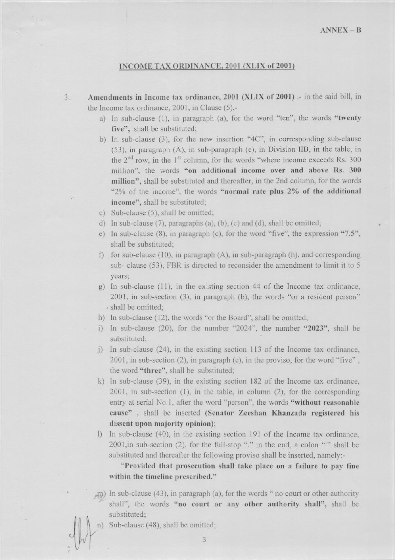#### INCOME TAX ORDINANCE, 2001 (XLIX of 2001)

- Amendments in Income tax ordinance, 2001 (XLIX of 2001) .- in the said bill, in  $3.$ the Income tax ordinance,  $2001$ , in Clause  $(5)$ ,
	- a) In sub-clause (1), in paragraph (a), for the word "ten", the words "twenty five", shall be substituted;
	- b) In sub-clause (3), for the new insertion "4C", in corresponding sub-clause (53), in paragraph (A), in sub-paragraph (e), in Division IIB, in the table, in the  $2<sup>nd</sup>$  row, in the  $1<sup>st</sup>$  column, for the words "where income exceeds Rs. 300 million", the words "on additional income over and above Rs. 300 million", shall be substituted and thereafter, in the 2nd column, for the words "2% of the income", the words "normal rate plus 2% of the additional income", shall be substituted;
	- c) Sub-clause (5), shall be omitted;
	- d) In sub-clause  $(7)$ , paragraphs  $(a)$ ,  $(b)$ ,  $(c)$  and  $(d)$ , shall be omitted;
	- e) In sub-clause (8), in paragraph (c), for the word "five", the expression "7.5", shall be substituted:
	- f) for sub-clause  $(10)$ , in paragraph  $(A)$ , in sub-paragraph  $(h)$ , and corresponding sub- clause (53), FBR is directed to reconsider the amendment to limit it to 5 years;
	- g) In sub-clause  $(11)$ , in the existing section 44 of the Income tax ordinance, 2001, in sub-section (3), in paragraph (b), the words "or a resident person" » shall be omitted;
	- h) In sub-clause (12), the words "or the Board", shall be omitted;
	- i) In sub-clause (20), for the number "2024", the number "2023", shall be substituted;
	- j) In sub-clause (24), in the existing section 113 of the Income tax ordinance,  $2001$ , in sub-section (2), in paragraph (c), in the proviso, for the word "five". the word "three", shall be substituted;
	- k) In sub-clause (39), in the existing section 182 of the Income tax ordinance,  $2001$ , in sub-section  $(1)$ , in the table, in column  $(2)$ , for the corresponding entry at serial No.1, after the word "person", the words "without reasonable cause", shall be inserted (Senator Zeeshan Khanzada registered his dissent upon majority opinion);
	- I) In sub-clause (40), in the existing section 191 of the Income tax ordinance, 2001, in sub-section (2), for the full-stop "." in the end, a colon ":" shall be substituted and thereafter the following proviso shall be inserted, namely:-

"Provided that prosecution shall take place on a failure to pay fine within the timeline prescribed."

,m) In sub-clause (43), in paragraph (a), for the words " no court or other authority shall", the words "no court or any other authority shall", shall be substituted;

Sub-clause (48), shall be omitted;